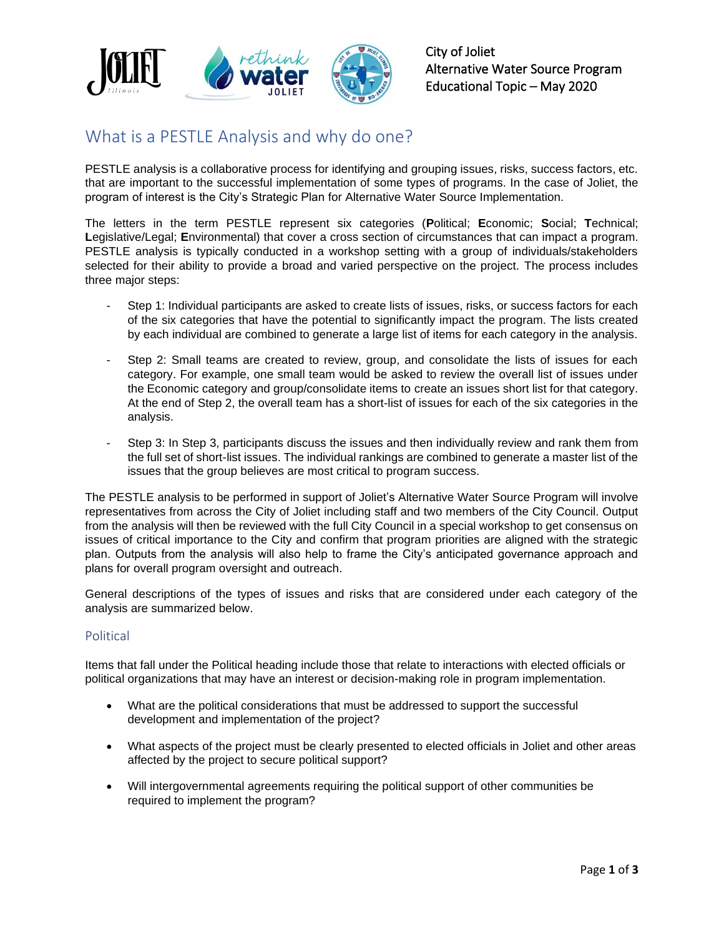

City of Joliet Alternative Water Source Program Educational Topic – May 2020

# What is a PESTLE Analysis and why do one?

PESTLE analysis is a collaborative process for identifying and grouping issues, risks, success factors, etc. that are important to the successful implementation of some types of programs. In the case of Joliet, the program of interest is the City's Strategic Plan for Alternative Water Source Implementation.

The letters in the term PESTLE represent six categories (**P**olitical; **E**conomic; **S**ocial; **T**echnical; **L**egislative/Legal; **E**nvironmental) that cover a cross section of circumstances that can impact a program. PESTLE analysis is typically conducted in a workshop setting with a group of individuals/stakeholders selected for their ability to provide a broad and varied perspective on the project. The process includes three major steps:

- Step 1: Individual participants are asked to create lists of issues, risks, or success factors for each of the six categories that have the potential to significantly impact the program. The lists created by each individual are combined to generate a large list of items for each category in the analysis.
- Step 2: Small teams are created to review, group, and consolidate the lists of issues for each category. For example, one small team would be asked to review the overall list of issues under the Economic category and group/consolidate items to create an issues short list for that category. At the end of Step 2, the overall team has a short-list of issues for each of the six categories in the analysis.
- Step 3: In Step 3, participants discuss the issues and then individually review and rank them from the full set of short-list issues. The individual rankings are combined to generate a master list of the issues that the group believes are most critical to program success.

The PESTLE analysis to be performed in support of Joliet's Alternative Water Source Program will involve representatives from across the City of Joliet including staff and two members of the City Council. Output from the analysis will then be reviewed with the full City Council in a special workshop to get consensus on issues of critical importance to the City and confirm that program priorities are aligned with the strategic plan. Outputs from the analysis will also help to frame the City's anticipated governance approach and plans for overall program oversight and outreach.

General descriptions of the types of issues and risks that are considered under each category of the analysis are summarized below.

## Political

Items that fall under the Political heading include those that relate to interactions with elected officials or political organizations that may have an interest or decision-making role in program implementation.

- What are the political considerations that must be addressed to support the successful development and implementation of the project?
- What aspects of the project must be clearly presented to elected officials in Joliet and other areas affected by the project to secure political support?
- Will intergovernmental agreements requiring the political support of other communities be required to implement the program?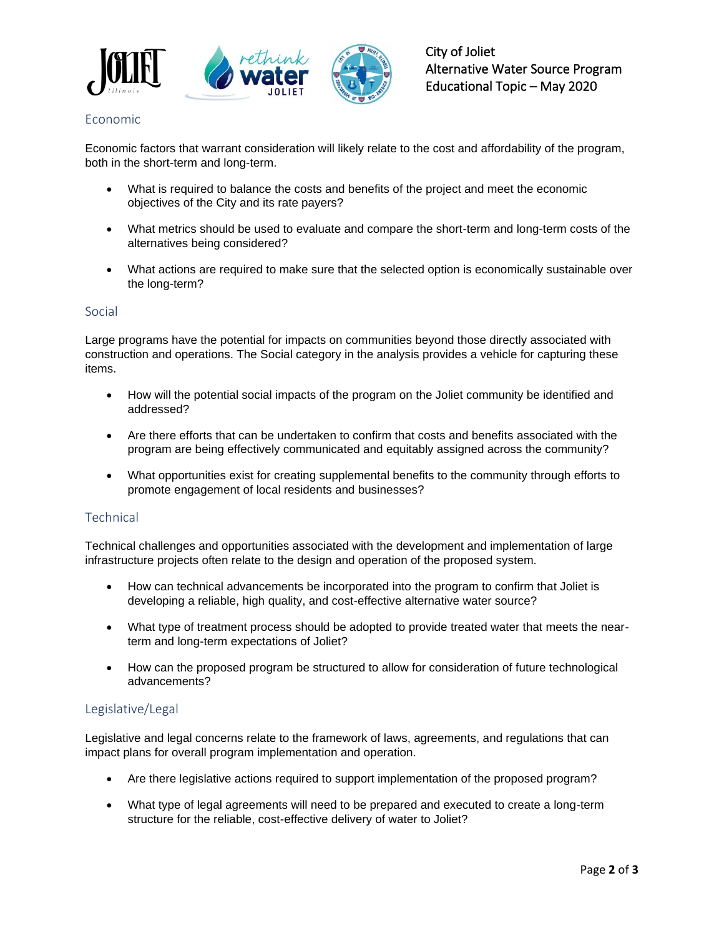

## Economic

Economic factors that warrant consideration will likely relate to the cost and affordability of the program, both in the short-term and long-term.

- What is required to balance the costs and benefits of the project and meet the economic objectives of the City and its rate payers?
- What metrics should be used to evaluate and compare the short-term and long-term costs of the alternatives being considered?
- What actions are required to make sure that the selected option is economically sustainable over the long-term?

#### Social

Large programs have the potential for impacts on communities beyond those directly associated with construction and operations. The Social category in the analysis provides a vehicle for capturing these items.

- How will the potential social impacts of the program on the Joliet community be identified and addressed?
- Are there efforts that can be undertaken to confirm that costs and benefits associated with the program are being effectively communicated and equitably assigned across the community?
- What opportunities exist for creating supplemental benefits to the community through efforts to promote engagement of local residents and businesses?

## **Technical**

Technical challenges and opportunities associated with the development and implementation of large infrastructure projects often relate to the design and operation of the proposed system.

- How can technical advancements be incorporated into the program to confirm that Joliet is developing a reliable, high quality, and cost-effective alternative water source?
- What type of treatment process should be adopted to provide treated water that meets the nearterm and long-term expectations of Joliet?
- How can the proposed program be structured to allow for consideration of future technological advancements?

## Legislative/Legal

Legislative and legal concerns relate to the framework of laws, agreements, and regulations that can impact plans for overall program implementation and operation.

- Are there legislative actions required to support implementation of the proposed program?
- What type of legal agreements will need to be prepared and executed to create a long-term structure for the reliable, cost-effective delivery of water to Joliet?